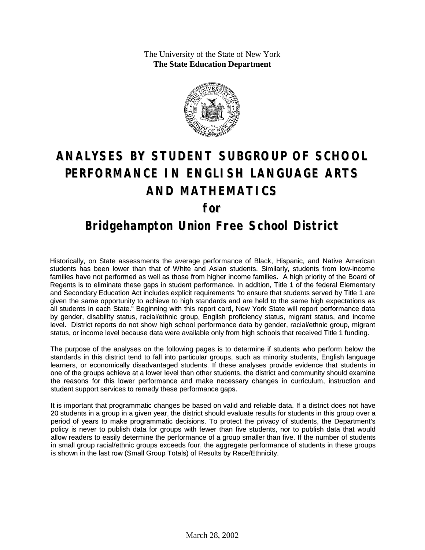The University of the State of New York **The State Education Department**



# **ANALYSES BY STUDENT SUBGROUP OF SCHOOL PERFORMANCE IN ENGLISH LANGUAGE ARTS AND MATHEMATICS for**

### **Bridgehampton Union Free School District**

Historically, on State assessments the average performance of Black, Hispanic, and Native American students has been lower than that of White and Asian students. Similarly, students from low-income families have not performed as well as those from higher income families. A high priority of the Board of Regents is to eliminate these gaps in student performance. In addition, Title 1 of the federal Elementary and Secondary Education Act includes explicit requirements "to ensure that students served by Title 1 are given the same opportunity to achieve to high standards and are held to the same high expectations as all students in each State." Beginning with this report card, New York State will report performance data by gender, disability status, racial/ethnic group, English proficiency status, migrant status, and income level. District reports do not show high school performance data by gender, racial/ethnic group, migrant status, or income level because data were available only from high schools that received Title 1 funding.

The purpose of the analyses on the following pages is to determine if students who perform below the standards in this district tend to fall into particular groups, such as minority students, English language learners, or economically disadvantaged students. If these analyses provide evidence that students in one of the groups achieve at a lower level than other students, the district and community should examine the reasons for this lower performance and make necessary changes in curriculum, instruction and student support services to remedy these performance gaps.

It is important that programmatic changes be based on valid and reliable data. If a district does not have 20 students in a group in a given year, the district should evaluate results for students in this group over a period of years to make programmatic decisions. To protect the privacy of students, the Department's policy is never to publish data for groups with fewer than five students, nor to publish data that would allow readers to easily determine the performance of a group smaller than five. If the number of students in small group racial/ethnic groups exceeds four, the aggregate performance of students in these groups is shown in the last row (Small Group Totals) of Results by Race/Ethnicity.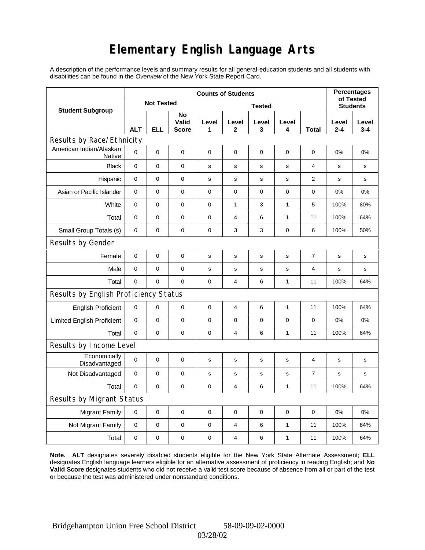# **Elementary English Language Arts**

A description of the performance levels and summary results for all general-education students and all students with disabilities can be found in the *Overview* of the New York State Report Card.

|                                          | <b>Counts of Students</b> |     |                             |             |                |                 |              |                |                  | <b>Percentages</b><br>of Tested |  |
|------------------------------------------|---------------------------|-----|-----------------------------|-------------|----------------|-----------------|--------------|----------------|------------------|---------------------------------|--|
| <b>Student Subgroup</b>                  | <b>Not Tested</b>         |     |                             |             |                | <b>Students</b> |              |                |                  |                                 |  |
|                                          | <b>ALT</b>                | ELL | No<br>Valid<br><b>Score</b> | Level<br>1  | Level<br>2     | Level<br>3      | Level<br>4   | Total          | Level<br>$2 - 4$ | Level<br>$3 - 4$                |  |
| Results by Race/Ethnicity                |                           |     |                             |             |                |                 |              |                |                  |                                 |  |
| American Indian/Alaskan<br><b>Native</b> | $\mathbf 0$               | 0   | 0                           | $\pmb{0}$   | 0              | $\mathbf 0$     | 0            | 0              | 0%               | 0%                              |  |
| <b>Black</b>                             | $\mathbf 0$               | 0   | 0                           | s           | s              | s               | s            | 4              | $\mathbf s$      | $\mathbf s$                     |  |
| Hispanic                                 | 0                         | 0   | $\pmb{0}$                   | s           | s              | s               | s            | 2              | s                | s                               |  |
| Asian or Pacific Islander                | 0                         | 0   | 0                           | 0           | 0              | 0               | 0            | 0              | 0%               | 0%                              |  |
| White                                    | $\mathbf 0$               | 0   | $\mathbf 0$                 | 0           | $\mathbf{1}$   | 3               | $\mathbf{1}$ | 5              | 100%             | 80%                             |  |
| Total                                    | $\mathbf 0$               | 0   | $\pmb{0}$                   | $\pmb{0}$   | 4              | 6               | 1            | 11             | 100%             | 64%                             |  |
| Small Group Totals (s)                   | 0                         | 0   | 0                           | 0           | 3              | 3               | 0            | 6              | 100%             | 50%                             |  |
| Results by Gender                        |                           |     |                             |             |                |                 |              |                |                  |                                 |  |
| Female                                   | $\pmb{0}$                 | 0   | $\pmb{0}$                   | $\mathbf s$ | $\mathbf s$    | ${\bf s}$       | $\mathbf s$  | $\overline{7}$ | $\mathbf s$      | s                               |  |
| Male                                     | $\mathbf 0$               | 0   | 0                           | s           | s              | S               | s            | 4              | $\mathbf s$      | s                               |  |
| Total                                    | $\mathbf 0$               | 0   | $\mathbf 0$                 | $\pmb{0}$   | $\overline{4}$ | 6               | $\mathbf{1}$ | 11             | 100%             | 64%                             |  |
| Results by English Proficiency Status    |                           |     |                             |             |                |                 |              |                |                  |                                 |  |
| <b>English Proficient</b>                | $\mathbf 0$               | 0   | $\pmb{0}$                   | $\pmb{0}$   | 4              | 6               | $\mathbf{1}$ | 11             | 100%             | 64%                             |  |
| <b>Limited English Proficient</b>        | $\pmb{0}$                 | 0   | $\pmb{0}$                   | 0           | 0              | $\mathbf 0$     | 0            | 0              | 0%               | 0%                              |  |
| Total                                    | $\mathbf 0$               | 0   | 0                           | 0           | $\overline{4}$ | 6               | 1            | 11             | 100%             | 64%                             |  |
| Results by Income Level                  |                           |     |                             |             |                |                 |              |                |                  |                                 |  |
| Economically<br>Disadvantaged            | $\pmb{0}$                 | 0   | $\mathbf 0$                 | s           | s              | ${\tt S}$       | s            | 4              | s                | s                               |  |
| Not Disadvantaged                        | $\mathbf 0$               | 0   | $\mathbf 0$                 | s           | s              | s               | s            | $\overline{7}$ | s                | s                               |  |
| Total                                    | $\mathbf 0$               | 0   | $\mathbf 0$                 | $\mathbf 0$ | 4              | 6               | 1            | 11             | 100%             | 64%                             |  |
| Results by Migrant Status                |                           |     |                             |             |                |                 |              |                |                  |                                 |  |
| <b>Migrant Family</b>                    | 0                         | 0   | 0                           | 0           | 0              | $\mathbf 0$     | 0            | 0              | 0%               | 0%                              |  |
| Not Migrant Family                       | $\mathbf 0$               | 0   | 0                           | 0           | 4              | 6               | 1            | 11             | 100%             | 64%                             |  |
| Total                                    | $\mathbf 0$               | 0   | $\pmb{0}$                   | $\pmb{0}$   | 4              | 6               | 1            | 11             | 100%             | 64%                             |  |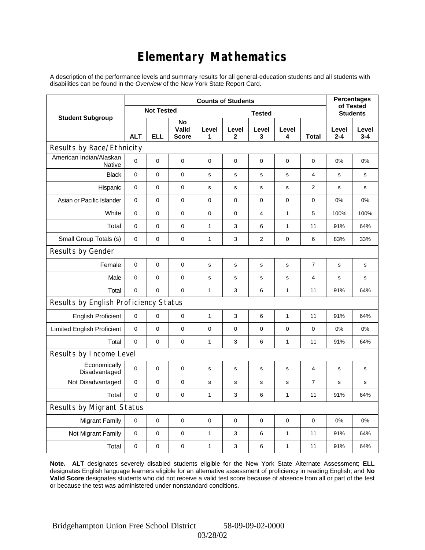# **Elementary Mathematics**

A description of the performance levels and summary results for all general-education students and all students with disabilities can be found in the *Overview* of the New York State Report Card.

|                                          | <b>Counts of Students</b> |                   |                             |              |                      |                 |             |                | <b>Percentages</b><br>of Tested |                  |
|------------------------------------------|---------------------------|-------------------|-----------------------------|--------------|----------------------|-----------------|-------------|----------------|---------------------------------|------------------|
| <b>Student Subgroup</b>                  |                           | <b>Not Tested</b> |                             |              |                      | <b>Students</b> |             |                |                                 |                  |
|                                          | <b>ALT</b>                | <b>ELL</b>        | No<br>Valid<br><b>Score</b> | Level<br>1   | Level<br>$\mathbf 2$ | Level<br>3      | Level<br>4  | <b>Total</b>   | Level<br>$2 - 4$                | Level<br>$3 - 4$ |
| Results by Race/Ethnicity                |                           |                   |                             |              |                      |                 |             |                |                                 |                  |
| American Indian/Alaskan<br><b>Native</b> | 0                         | $\mathbf 0$       | $\mathbf 0$                 | 0            | 0                    | 0               | 0           | 0              | 0%                              | 0%               |
| <b>Black</b>                             | 0                         | $\mathsf 0$       | $\pmb{0}$                   | $\mathbf s$  | $\mathbf s$          | s               | $\mathbf s$ | 4              | s                               | s                |
| Hispanic                                 | $\mathbf 0$               | 0                 | $\mathbf 0$                 | $\mathbf s$  | $\mathbf s$          | $\mathbf s$     | $\mathbf s$ | 2              | s                               | s                |
| Asian or Pacific Islander                | $\mathbf 0$               | 0                 | $\mathbf 0$                 | $\pmb{0}$    | $\mathbf 0$          | 0               | $\mathbf 0$ | 0              | 0%                              | 0%               |
| White                                    | 0                         | 0                 | $\mathbf 0$                 | $\pmb{0}$    | $\mathbf 0$          | 4               | 1           | 5              | 100%                            | 100%             |
| Total                                    | $\mathbf 0$               | 0                 | $\mathbf 0$                 | 1            | 3                    | 6               | 1           | 11             | 91%                             | 64%              |
| Small Group Totals (s)                   | $\mathbf 0$               | 0                 | $\mathbf 0$                 | 1            | 3                    | $\overline{2}$  | 0           | 6              | 83%                             | 33%              |
| Results by Gender                        |                           |                   |                             |              |                      |                 |             |                |                                 |                  |
| Female                                   | 0                         | $\mathsf 0$       | $\pmb{0}$                   | $\mathbf s$  | $\mathbf s$          | $\mathbf s$     | $\mathbf s$ | $\overline{7}$ | $\mathbf s$                     | s                |
| Male                                     | $\mathbf 0$               | 0                 | $\mathbf 0$                 | $\mathbf s$  | $\mathsf{s}$         | $\mathsf{s}$    | s           | 4              | s                               | s                |
| Total                                    | 0                         | 0                 | $\mathbf 0$                 | $\mathbf{1}$ | 3                    | 6               | 1           | 11             | 91%                             | 64%              |
| Results by English Proficiency Status    |                           |                   |                             |              |                      |                 |             |                |                                 |                  |
| <b>English Proficient</b>                | 0                         | 0                 | $\mathbf 0$                 | $\mathbf{1}$ | 3                    | 6               | 1           | 11             | 91%                             | 64%              |
| <b>Limited English Proficient</b>        | 0                         | 0                 | $\mathbf 0$                 | $\pmb{0}$    | $\mathbf 0$          | 0               | $\pmb{0}$   | 0              | 0%                              | 0%               |
| Total                                    | 0                         | $\mathbf 0$       | $\mathbf 0$                 | $\mathbf{1}$ | 3                    | 6               | 1           | 11             | 91%                             | 64%              |
| Results by Income Level                  |                           |                   |                             |              |                      |                 |             |                |                                 |                  |
| Economically<br>Disadvantaged            | $\mathbf 0$               | $\mathsf 0$       | $\mathbf 0$                 | $\mathbf s$  | S                    | $\mathbf s$     | s           | 4              | $\mathbf s$                     | s                |
| Not Disadvantaged                        | $\mathbf 0$               | 0                 | $\mathbf 0$                 | s            | s                    | s               | s           | $\overline{7}$ | s                               | s                |
| Total                                    | $\mathbf 0$               | $\mathbf 0$       | $\pmb{0}$                   | 1            | 3                    | 6               | 1           | 11             | 91%                             | 64%              |
| Results by Migrant Status                |                           |                   |                             |              |                      |                 |             |                |                                 |                  |
| <b>Migrant Family</b>                    | $\mathbf 0$               | 0                 | $\pmb{0}$                   | 0            | $\mathbf 0$          | 0               | $\pmb{0}$   | $\mathbf 0$    | 0%                              | 0%               |
| Not Migrant Family                       | 0                         | 0                 | $\pmb{0}$                   | 1            | 3                    | 6               | 1           | 11             | 91%                             | 64%              |
| Total                                    | 0                         | 0                 | 0                           | 1            | 3                    | 6               | 1           | 11             | 91%                             | 64%              |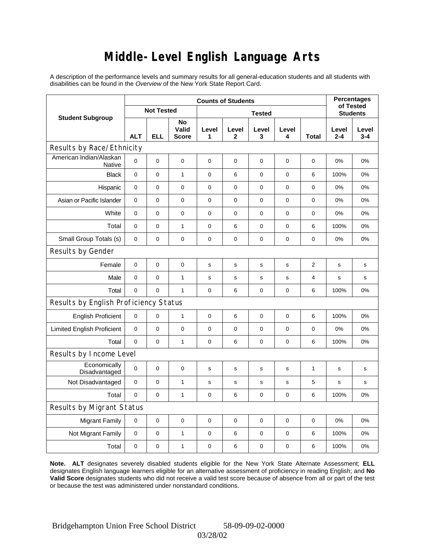# **Middle-Level English Language Arts**

A description of the performance levels and summary results for all general-education students and all students with disabilities can be found in the *Overview* of the New York State Report Card.

|                                          | <b>Counts of Students</b> |                   |                             |             |                       |             |                 |                | <b>Percentages</b><br>of Tested |                  |
|------------------------------------------|---------------------------|-------------------|-----------------------------|-------------|-----------------------|-------------|-----------------|----------------|---------------------------------|------------------|
| <b>Student Subgroup</b>                  |                           | <b>Not Tested</b> |                             |             |                       |             | <b>Students</b> |                |                                 |                  |
|                                          | <b>ALT</b>                | <b>ELL</b>        | No<br>Valid<br><b>Score</b> | Level<br>1  | Level<br>$\mathbf{2}$ | Level<br>3  | Level<br>4      | <b>Total</b>   | Level<br>$2 - 4$                | Level<br>$3 - 4$ |
| Results by Race/Ethnicity                |                           |                   |                             |             |                       |             |                 |                |                                 |                  |
| American Indian/Alaskan<br><b>Native</b> | 0                         | $\mathbf 0$       | $\mathbf 0$                 | 0           | $\mathbf 0$           | 0           | 0               | 0              | 0%                              | 0%               |
| <b>Black</b>                             | 0                         | $\mathsf 0$       | $\mathbf{1}$                | $\pmb{0}$   | 6                     | 0           | $\mathbf 0$     | 6              | 100%                            | 0%               |
| Hispanic                                 | $\mathbf 0$               | 0                 | $\mathbf 0$                 | 0           | $\mathbf 0$           | 0           | 0               | 0              | 0%                              | 0%               |
| Asian or Pacific Islander                | $\mathbf 0$               | 0                 | $\mathbf 0$                 | $\pmb{0}$   | $\mathbf 0$           | 0           | 0               | 0              | 0%                              | 0%               |
| White                                    | 0                         | 0                 | 0                           | $\pmb{0}$   | $\mathbf 0$           | 0           | 0               | 0              | 0%                              | 0%               |
| Total                                    | $\mathbf 0$               | 0                 | $\mathbf{1}$                | 0           | 6                     | 0           | $\mathbf 0$     | 6              | 100%                            | 0%               |
| Small Group Totals (s)                   | $\mathbf 0$               | 0                 | $\mathbf 0$                 | $\pmb{0}$   | $\mathbf 0$           | 0           | $\pmb{0}$       | 0              | 0%                              | 0%               |
| Results by Gender                        |                           |                   |                             |             |                       |             |                 |                |                                 |                  |
| Female                                   | 0                         | $\mathsf 0$       | $\pmb{0}$                   | $\mathbf s$ | $\mathbf s$           | $\mathbf s$ | $\mathbf s$     | $\overline{2}$ | $\mathbf s$                     | s                |
| Male                                     | $\mathbf 0$               | 0                 | $\mathbf{1}$                | $\mathbf s$ | $\mathbf S$           | $\mathbf S$ | s               | 4              | s                               | s                |
| Total                                    | 0                         | 0                 | $\mathbf{1}$                | 0           | 6                     | 0           | $\pmb{0}$       | 6              | 100%                            | 0%               |
| Results by English Proficiency Status    |                           |                   |                             |             |                       |             |                 |                |                                 |                  |
| <b>English Proficient</b>                | 0                         | 0                 | $\mathbf{1}$                | 0           | 6                     | 0           | $\pmb{0}$       | 6              | 100%                            | 0%               |
| <b>Limited English Proficient</b>        | 0                         | 0                 | $\mathbf 0$                 | $\pmb{0}$   | $\mathbf 0$           | 0           | $\pmb{0}$       | 0              | 0%                              | 0%               |
| Total                                    | 0                         | $\mathbf 0$       | $\mathbf{1}$                | 0           | 6                     | 0           | 0               | 6              | 100%                            | 0%               |
| Results by Income Level                  |                           |                   |                             |             |                       |             |                 |                |                                 |                  |
| Economically<br>Disadvantaged            | $\mathbf 0$               | $\mathsf 0$       | $\mathbf 0$                 | $\mathbf s$ | S                     | $\mathbf s$ | s               | 1              | $\mathbf s$                     | s                |
| Not Disadvantaged                        | $\mathbf 0$               | 0                 | $\mathbf{1}$                | s           | s                     | s           | s               | 5              | s                               | s                |
| Total                                    | $\mathbf 0$               | $\mathbf 0$       | $\mathbf{1}$                | 0           | 6                     | 0           | $\mathbf 0$     | 6              | 100%                            | 0%               |
| Results by Migrant Status                |                           |                   |                             |             |                       |             |                 |                |                                 |                  |
| <b>Migrant Family</b>                    | $\mathbf 0$               | 0                 | $\mathbf 0$                 | 0           | $\mathbf 0$           | 0           | $\pmb{0}$       | $\mathbf 0$    | 0%                              | 0%               |
| Not Migrant Family                       | 0                         | 0                 | $\mathbf{1}$                | 0           | 6                     | 0           | 0               | 6              | 100%                            | 0%               |
| Total                                    | 0                         | 0                 | $\mathbf{1}$                | 0           | 6                     | 0           | 0               | 6              | 100%                            | 0%               |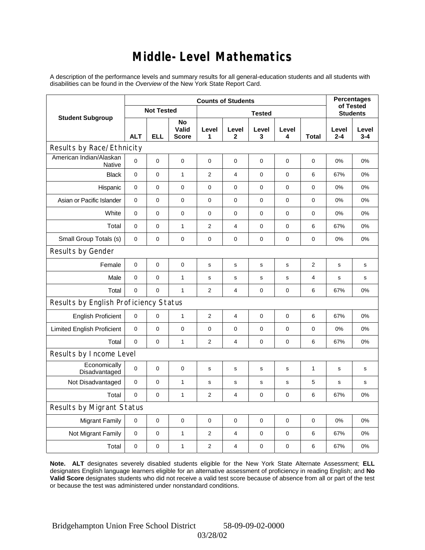### **Middle-Level Mathematics**

A description of the performance levels and summary results for all general-education students and all students with disabilities can be found in the *Overview* of the New York State Report Card.

|                                       | <b>Counts of Students</b> |                |                             |                  |                         |              |             |                | <b>Percentages</b><br>of Tested |                  |
|---------------------------------------|---------------------------|----------------|-----------------------------|------------------|-------------------------|--------------|-------------|----------------|---------------------------------|------------------|
| <b>Student Subgroup</b>               | <b>Not Tested</b>         |                |                             |                  | <b>Students</b>         |              |             |                |                                 |                  |
|                                       | <b>ALT</b>                | <b>ELL</b>     | No<br>Valid<br><b>Score</b> | Level<br>1       | Level<br>$\mathbf{2}$   | Level<br>3   | Level<br>4  | <b>Total</b>   | Level<br>$2 - 4$                | Level<br>$3 - 4$ |
| Results by Race/Ethnicity             |                           |                |                             |                  |                         |              |             |                |                                 |                  |
| American Indian/Alaskan<br>Native     | 0                         | $\mathbf 0$    | $\mathbf 0$                 | $\mathbf 0$      | 0                       | 0            | 0           | 0              | $0\%$                           | 0%               |
| <b>Black</b>                          | 0                         | 0              | $\mathbf{1}$                | $\overline{2}$   | 4                       | 0            | 0           | 6              | 67%                             | 0%               |
| Hispanic                              | $\mathbf 0$               | $\mathsf 0$    | $\pmb{0}$                   | $\pmb{0}$        | $\mathbf 0$             | 0            | 0           | 0              | 0%                              | 0%               |
| Asian or Pacific Islander             | $\mathbf 0$               | $\mathbf 0$    | 0                           | 0                | $\mathbf 0$             | 0            | $\mathbf 0$ | 0              | 0%                              | 0%               |
| White                                 | $\mathbf 0$               | $\overline{0}$ | $\pmb{0}$                   | $\mathbf 0$      | 0                       | 0            | 0           | 0              | 0%                              | 0%               |
| Total                                 | $\mathbf 0$               | 0              | $\mathbf{1}$                | $\overline{2}$   | $\overline{\mathbf{4}}$ | 0            | 0           | 6              | 67%                             | 0%               |
| Small Group Totals (s)                | $\mathbf 0$               | 0              | $\pmb{0}$                   | $\pmb{0}$        | $\mathbf 0$             | 0            | 0           | 0              | 0%                              | 0%               |
| Results by Gender                     |                           |                |                             |                  |                         |              |             |                |                                 |                  |
| Female                                | 0                         | 0              | $\pmb{0}$                   | $\mathbf s$      | $\mathsf{s}$            | $\mathsf{s}$ | s           | $\overline{2}$ | $\mathbf s$                     | s                |
| Male                                  | 0                         | $\mathbf 0$    | $\mathbf{1}$                | $\mathbf s$      | s                       | s            | s           | 4              | s                               | s                |
| Total                                 | 0                         | 0              | $\mathbf{1}$                | $\overline{2}$   | $\overline{4}$          | 0            | $\pmb{0}$   | 6              | 67%                             | 0%               |
| Results by English Proficiency Status |                           |                |                             |                  |                         |              |             |                |                                 |                  |
| <b>English Proficient</b>             | $\mathbf 0$               | 0              | $\mathbf{1}$                | $\overline{2}$   | $\overline{4}$          | 0            | $\pmb{0}$   | 6              | 67%                             | 0%               |
| <b>Limited English Proficient</b>     | 0                         | 0              | $\pmb{0}$                   | $\pmb{0}$        | $\mathbf 0$             | 0            | 0           | 0              | 0%                              | 0%               |
| Total                                 | $\mathbf 0$               | $\mathbf 0$    | $\mathbf{1}$                | $\overline{2}$   | $\overline{4}$          | 0            | 0           | 6              | 67%                             | 0%               |
| Results by Income Level               |                           |                |                             |                  |                         |              |             |                |                                 |                  |
| Economically<br>Disadvantaged         | $\mathbf 0$               | 0              | $\mathbf 0$                 | s                | S                       | $\mathbf s$  | s           | 1              | $\mathbf s$                     | s                |
| Not Disadvantaged                     | 0                         | $\mathbf 0$    | $\mathbf{1}$                | s                | s                       | s            | s           | 5              | s                               | s                |
| Total                                 | $\mathbf 0$               | $\mathbf 0$    | $\mathbf{1}$                | $\overline{2}$   | 4                       | 0            | 0           | 6              | 67%                             | 0%               |
| Results by Migrant Status             |                           |                |                             |                  |                         |              |             |                |                                 |                  |
| <b>Migrant Family</b>                 | $\mathbf 0$               | $\mathbf 0$    | $\pmb{0}$                   | 0                | $\mathbf 0$             | $\mathbf 0$  | 0           | 0              | 0%                              | 0%               |
| Not Migrant Family                    | 0                         | 0              | $\mathbf{1}$                | $\boldsymbol{2}$ | 4                       | 0            | 0           | 6              | 67%                             | 0%               |
| Total                                 | 0                         | 0              | $\mathbf{1}$                | 2                | 4                       | 0            | 0           | 6              | 67%                             | 0%               |